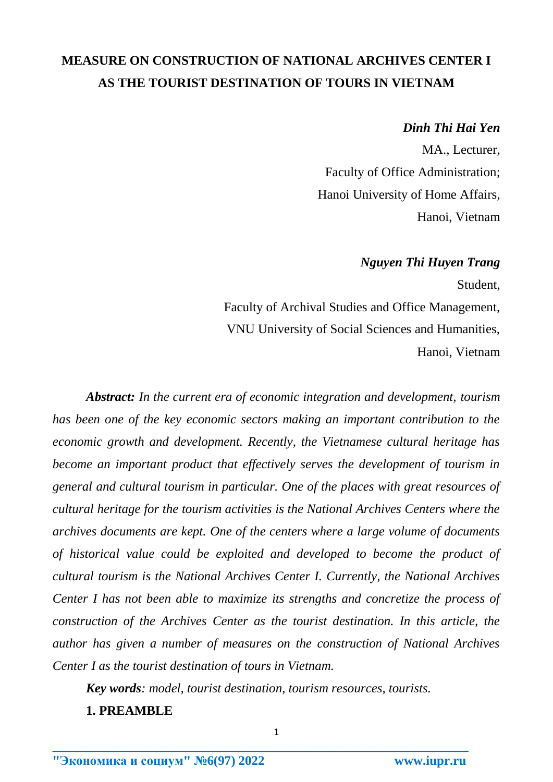# **MEASURE ON CONSTRUCTION OF NATIONAL ARCHIVES CENTER I AS THE TOURIST DESTINATION OF TOURS IN VIETNAM**

## *Dinh Thi Hai Yen*

MA., Lecturer, Faculty of Office Administration; Hanoi University of Home Affairs, Hanoi, Vietnam

## *Nguyen Thi Huyen Trang*

Student,

Faculty of Archival Studies and Office Management, VNU University of Social Sciences and Humanities, Hanoi, Vietnam

*Abstract: In the current era of economic integration and development, tourism has been one of the key economic sectors making an important contribution to the economic growth and development. Recently, the Vietnamese cultural heritage has become an important product that effectively serves the development of tourism in general and cultural tourism in particular. One of the places with great resources of cultural heritage for the tourism activities is the National Archives Centers where the archives documents are kept. One of the centers where a large volume of documents of historical value could be exploited and developed to become the product of cultural tourism is the National Archives Center I. Currently, the National Archives Center I has not been able to maximize its strengths and concretize the process of construction of the Archives Center as the tourist destination. In this article, the author has given a number of measures on the construction of National Archives Center I as the tourist destination of tours in Vietnam.* 

*Key words: model, tourist destination, tourism resources, tourists.* 

**1. PREAMBLE**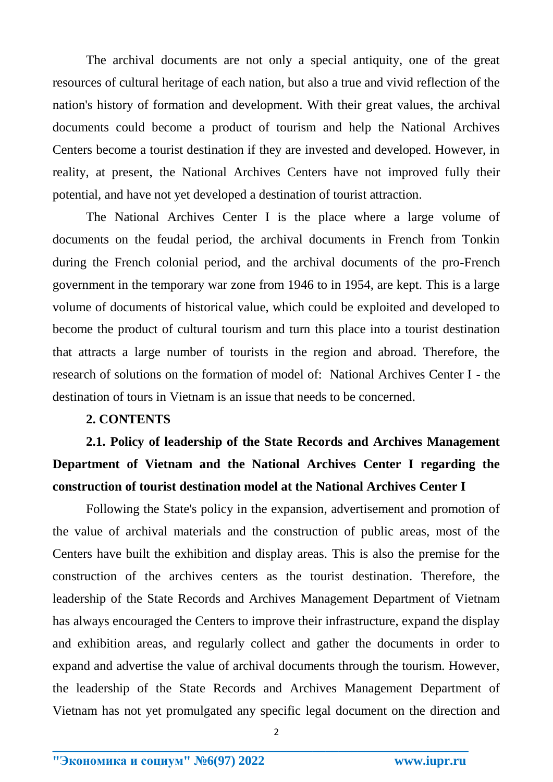The archival documents are not only a special antiquity, one of the great resources of cultural heritage of each nation, but also a true and vivid reflection of the nation's history of formation and development. With their great values, the archival documents could become a product of tourism and help the National Archives Centers become a tourist destination if they are invested and developed. However, in reality, at present, the National Archives Centers have not improved fully their potential, and have not yet developed a destination of tourist attraction.

The National Archives Center I is the place where a large volume of documents on the feudal period, the archival documents in French from Tonkin during the French colonial period, and the archival documents of the pro-French government in the temporary war zone from 1946 to in 1954, are kept. This is a large volume of documents of historical value, which could be exploited and developed to become the product of cultural tourism and turn this place into a tourist destination that attracts a large number of tourists in the region and abroad. Therefore, the research of solutions on the formation of model of: National Archives Center I - the destination of tours in Vietnam is an issue that needs to be concerned.

### **2. CONTENTS**

**2.1. Policy of leadership of the State Records and Archives Management Department of Vietnam and the National Archives Center I regarding the construction of tourist destination model at the National Archives Center I**

Following the State's policy in the expansion, advertisement and promotion of the value of archival materials and the construction of public areas, most of the Centers have built the exhibition and display areas. This is also the premise for the construction of the archives centers as the tourist destination. Therefore, the leadership of the State Records and Archives Management Department of Vietnam has always encouraged the Centers to improve their infrastructure, expand the display and exhibition areas, and regularly collect and gather the documents in order to expand and advertise the value of archival documents through the tourism. However, the leadership of the State Records and Archives Management Department of Vietnam has not yet promulgated any specific legal document on the direction and

2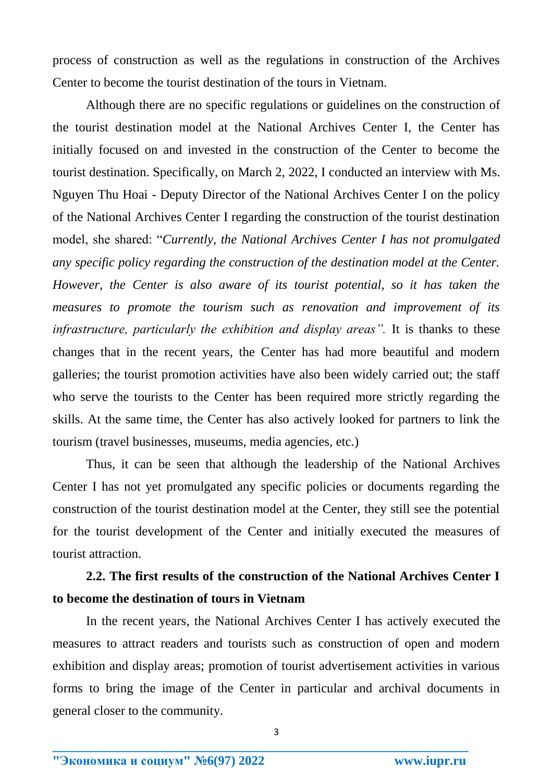process of construction as well as the regulations in construction of the Archives Center to become the tourist destination of the tours in Vietnam.

Although there are no specific regulations or guidelines on the construction of the tourist destination model at the National Archives Center I, the Center has initially focused on and invested in the construction of the Center to become the tourist destination. Specifically, on March 2, 2022, I conducted an interview with Ms. Nguyen Thu Hoai - Deputy Director of the National Archives Center I on the policy of the National Archives Center I regarding the construction of the tourist destination model, she shared: "*Currently, the National Archives Center I has not promulgated any specific policy regarding the construction of the destination model at the Center. However, the Center is also aware of its tourist potential, so it has taken the measures to promote the tourism such as renovation and improvement of its infrastructure, particularly the exhibition and display areas".* It is thanks to these changes that in the recent years, the Center has had more beautiful and modern galleries; the tourist promotion activities have also been widely carried out; the staff who serve the tourists to the Center has been required more strictly regarding the skills. At the same time, the Center has also actively looked for partners to link the tourism (travel businesses, museums, media agencies, etc.)

Thus, it can be seen that although the leadership of the National Archives Center I has not yet promulgated any specific policies or documents regarding the construction of the tourist destination model at the Center, they still see the potential for the tourist development of the Center and initially executed the measures of tourist attraction.

# **2.2. The first results of the construction of the National Archives Center I to become the destination of tours in Vietnam**

In the recent years, the National Archives Center I has actively executed the measures to attract readers and tourists such as construction of open and modern exhibition and display areas; promotion of tourist advertisement activities in various forms to bring the image of the Center in particular and archival documents in general closer to the community.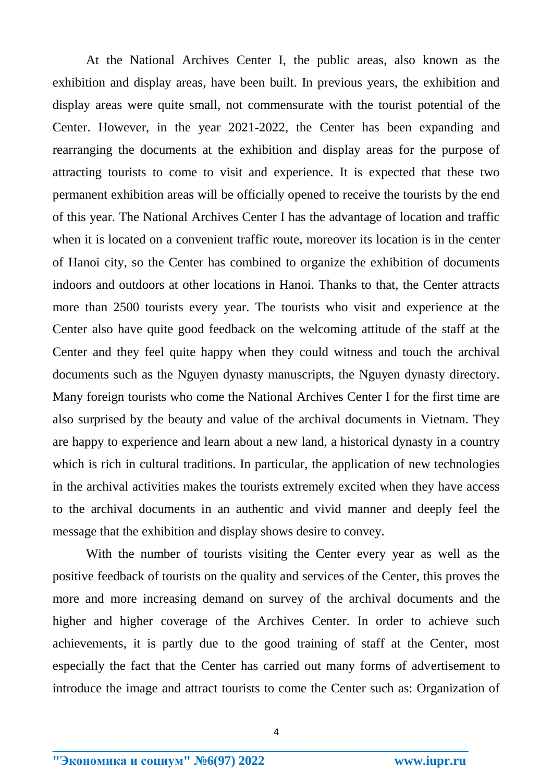At the National Archives Center I, the public areas, also known as the exhibition and display areas, have been built. In previous years, the exhibition and display areas were quite small, not commensurate with the tourist potential of the Center. However, in the year 2021-2022, the Center has been expanding and rearranging the documents at the exhibition and display areas for the purpose of attracting tourists to come to visit and experience. It is expected that these two permanent exhibition areas will be officially opened to receive the tourists by the end of this year. The National Archives Center I has the advantage of location and traffic when it is located on a convenient traffic route, moreover its location is in the center of Hanoi city, so the Center has combined to organize the exhibition of documents indoors and outdoors at other locations in Hanoi. Thanks to that, the Center attracts more than 2500 tourists every year. The tourists who visit and experience at the Center also have quite good feedback on the welcoming attitude of the staff at the Center and they feel quite happy when they could witness and touch the archival documents such as the Nguyen dynasty manuscripts, the Nguyen dynasty directory. Many foreign tourists who come the National Archives Center I for the first time are also surprised by the beauty and value of the archival documents in Vietnam. They are happy to experience and learn about a new land, a historical dynasty in a country which is rich in cultural traditions. In particular, the application of new technologies in the archival activities makes the tourists extremely excited when they have access to the archival documents in an authentic and vivid manner and deeply feel the message that the exhibition and display shows desire to convey.

With the number of tourists visiting the Center every year as well as the positive feedback of tourists on the quality and services of the Center, this proves the more and more increasing demand on survey of the archival documents and the higher and higher coverage of the Archives Center. In order to achieve such achievements, it is partly due to the good training of staff at the Center, most especially the fact that the Center has carried out many forms of advertisement to introduce the image and attract tourists to come the Center such as: Organization of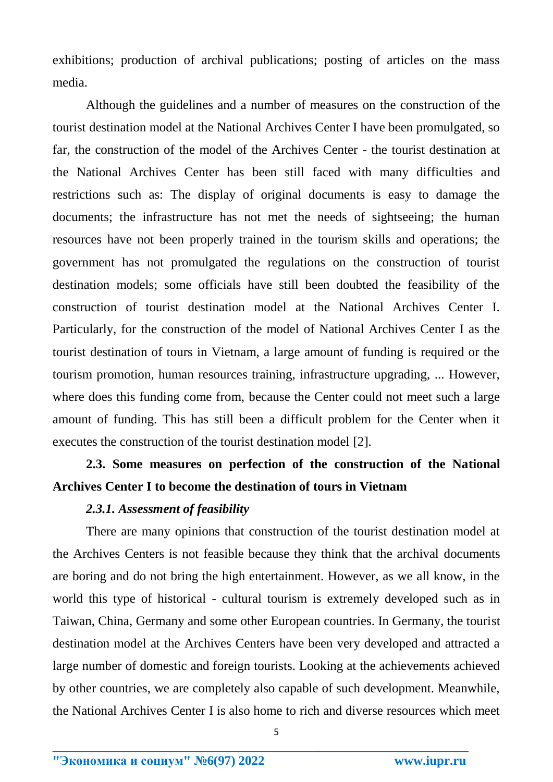exhibitions; production of archival publications; posting of articles on the mass media.

Although the guidelines and a number of measures on the construction of the tourist destination model at the National Archives Center I have been promulgated, so far, the construction of the model of the Archives Center - the tourist destination at the National Archives Center has been still faced with many difficulties and restrictions such as: The display of original documents is easy to damage the documents; the infrastructure has not met the needs of sightseeing; the human resources have not been properly trained in the tourism skills and operations; the government has not promulgated the regulations on the construction of tourist destination models; some officials have still been doubted the feasibility of the construction of tourist destination model at the National Archives Center I. Particularly, for the construction of the model of National Archives Center I as the tourist destination of tours in Vietnam, a large amount of funding is required or the tourism promotion, human resources training, infrastructure upgrading, ... However, where does this funding come from, because the Center could not meet such a large amount of funding. This has still been a difficult problem for the Center when it executes the construction of the tourist destination model [2].

# **2.3. Some measures on perfection of the construction of the National Archives Center I to become the destination of tours in Vietnam**

### *2.3.1. Assessment of feasibility*

There are many opinions that construction of the tourist destination model at the Archives Centers is not feasible because they think that the archival documents are boring and do not bring the high entertainment. However, as we all know, in the world this type of historical - cultural tourism is extremely developed such as in Taiwan, China, Germany and some other European countries. In Germany, the tourist destination model at the Archives Centers have been very developed and attracted a large number of domestic and foreign tourists. Looking at the achievements achieved by other countries, we are completely also capable of such development. Meanwhile, the National Archives Center I is also home to rich and diverse resources which meet

5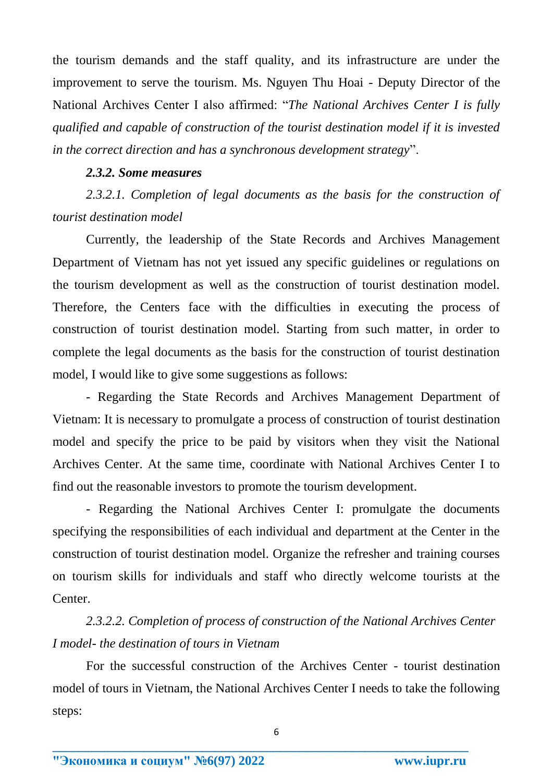the tourism demands and the staff quality, and its infrastructure are under the improvement to serve the tourism. Ms. Nguyen Thu Hoai - Deputy Director of the National Archives Center I also affirmed: "*The National Archives Center I is fully qualified and capable of construction of the tourist destination model if it is invested in the correct direction and has a synchronous development strategy*".

## *2.3.2. Some measures*

2.3.2.1. Completion of legal documents as the basis for the construction of *tourist destination model*

Currently, the leadership of the State Records and Archives Management Department of Vietnam has not yet issued any specific guidelines or regulations on the tourism development as well as the construction of tourist destination model. Therefore, the Centers face with the difficulties in executing the process of construction of tourist destination model. Starting from such matter, in order to complete the legal documents as the basis for the construction of tourist destination model, I would like to give some suggestions as follows:

- Regarding the State Records and Archives Management Department of Vietnam: It is necessary to promulgate a process of construction of tourist destination model and specify the price to be paid by visitors when they visit the National Archives Center. At the same time, coordinate with National Archives Center I to find out the reasonable investors to promote the tourism development.

- Regarding the National Archives Center I: promulgate the documents specifying the responsibilities of each individual and department at the Center in the construction of tourist destination model. Organize the refresher and training courses on tourism skills for individuals and staff who directly welcome tourists at the Center.

*2.3.2.2. Completion of process of construction of the National Archives Center I model- the destination of tours in Vietnam*

For the successful construction of the Archives Center - tourist destination model of tours in Vietnam, the National Archives Center I needs to take the following steps: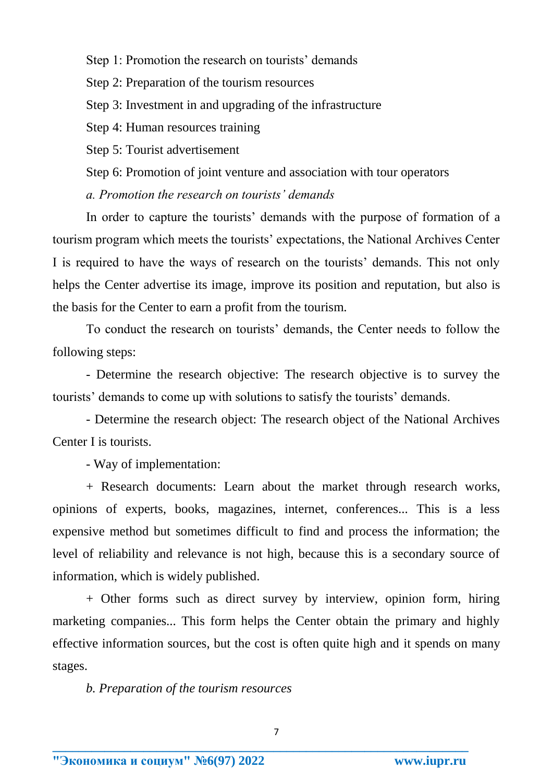Step 1: Promotion the research on tourists' demands

Step 2: Preparation of the tourism resources

Step 3: Investment in and upgrading of the infrastructure

Step 4: Human resources training

Step 5: Tourist advertisement

Step 6: Promotion of joint venture and association with tour operators

*a. Promotion the research on tourists' demands*

In order to capture the tourists' demands with the purpose of formation of a tourism program which meets the tourists' expectations, the National Archives Center I is required to have the ways of research on the tourists' demands. This not only helps the Center advertise its image, improve its position and reputation, but also is the basis for the Center to earn a profit from the tourism.

To conduct the research on tourists' demands, the Center needs to follow the following steps:

- Determine the research objective: The research objective is to survey the tourists' demands to come up with solutions to satisfy the tourists' demands.

- Determine the research object: The research object of the National Archives Center I is tourists.

- Way of implementation:

+ Research documents: Learn about the market through research works, opinions of experts, books, magazines, internet, conferences... This is a less expensive method but sometimes difficult to find and process the information; the level of reliability and relevance is not high, because this is a secondary source of information, which is widely published.

+ Other forms such as direct survey by interview, opinion form, hiring marketing companies... This form helps the Center obtain the primary and highly effective information sources, but the cost is often quite high and it spends on many stages.

*b. Preparation of the tourism resources*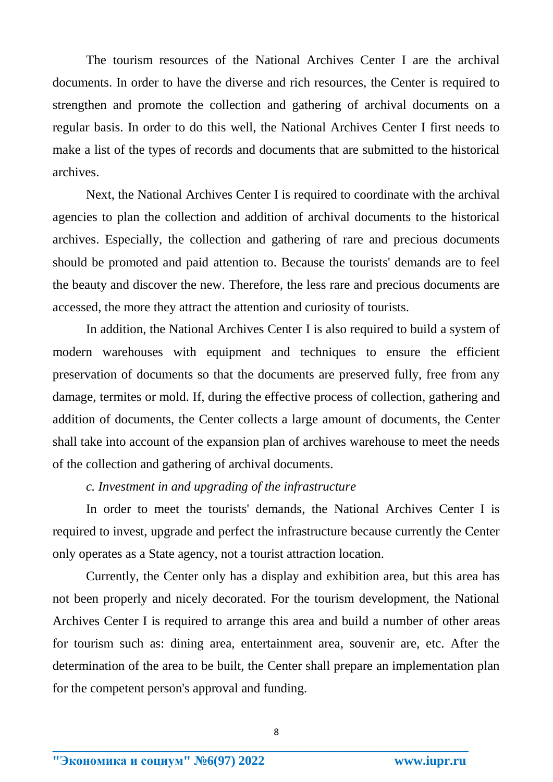The tourism resources of the National Archives Center I are the archival documents. In order to have the diverse and rich resources, the Center is required to strengthen and promote the collection and gathering of archival documents on a regular basis. In order to do this well, the National Archives Center I first needs to make a list of the types of records and documents that are submitted to the historical archives.

Next, the National Archives Center I is required to coordinate with the archival agencies to plan the collection and addition of archival documents to the historical archives. Especially, the collection and gathering of rare and precious documents should be promoted and paid attention to. Because the tourists' demands are to feel the beauty and discover the new. Therefore, the less rare and precious documents are accessed, the more they attract the attention and curiosity of tourists.

In addition, the National Archives Center I is also required to build a system of modern warehouses with equipment and techniques to ensure the efficient preservation of documents so that the documents are preserved fully, free from any damage, termites or mold. If, during the effective process of collection, gathering and addition of documents, the Center collects a large amount of documents, the Center shall take into account of the expansion plan of archives warehouse to meet the needs of the collection and gathering of archival documents.

## *c. Investment in and upgrading of the infrastructure*

In order to meet the tourists' demands, the National Archives Center I is required to invest, upgrade and perfect the infrastructure because currently the Center only operates as a State agency, not a tourist attraction location.

Currently, the Center only has a display and exhibition area, but this area has not been properly and nicely decorated. For the tourism development, the National Archives Center I is required to arrange this area and build a number of other areas for tourism such as: dining area, entertainment area, souvenir are, etc. After the determination of the area to be built, the Center shall prepare an implementation plan for the competent person's approval and funding.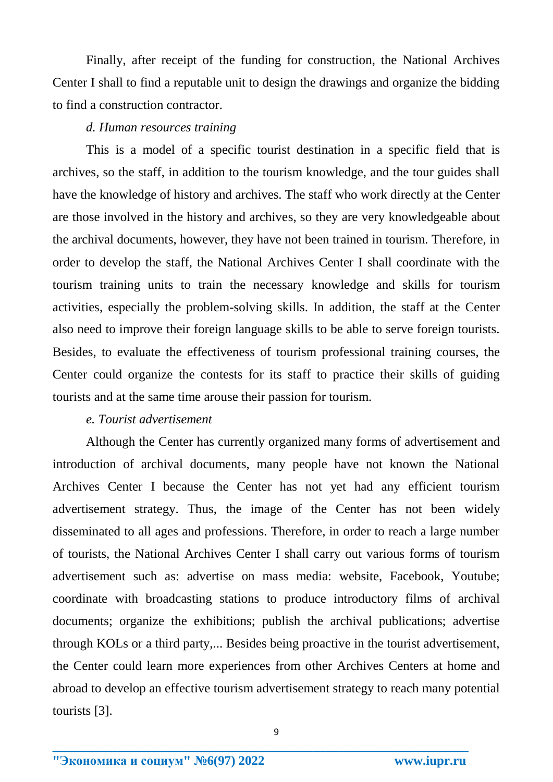Finally, after receipt of the funding for construction, the National Archives Center I shall to find a reputable unit to design the drawings and organize the bidding to find a construction contractor.

### *d. Human resources training*

This is a model of a specific tourist destination in a specific field that is archives, so the staff, in addition to the tourism knowledge, and the tour guides shall have the knowledge of history and archives. The staff who work directly at the Center are those involved in the history and archives, so they are very knowledgeable about the archival documents, however, they have not been trained in tourism. Therefore, in order to develop the staff, the National Archives Center I shall coordinate with the tourism training units to train the necessary knowledge and skills for tourism activities, especially the problem-solving skills. In addition, the staff at the Center also need to improve their foreign language skills to be able to serve foreign tourists. Besides, to evaluate the effectiveness of tourism professional training courses, the Center could organize the contests for its staff to practice their skills of guiding tourists and at the same time arouse their passion for tourism.

## *e. Tourist advertisement*

Although the Center has currently organized many forms of advertisement and introduction of archival documents, many people have not known the National Archives Center I because the Center has not yet had any efficient tourism advertisement strategy. Thus, the image of the Center has not been widely disseminated to all ages and professions. Therefore, in order to reach a large number of tourists, the National Archives Center I shall carry out various forms of tourism advertisement such as: advertise on mass media: website, Facebook, Youtube; coordinate with broadcasting stations to produce introductory films of archival documents; organize the exhibitions; publish the archival publications; advertise through KOLs or a third party,... Besides being proactive in the tourist advertisement, the Center could learn more experiences from other Archives Centers at home and abroad to develop an effective tourism advertisement strategy to reach many potential tourists [3].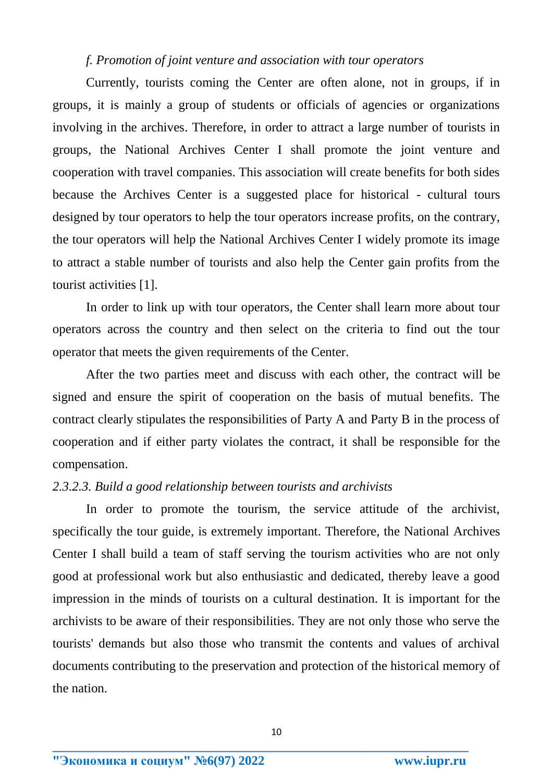#### *f. Promotion of joint venture and association with tour operators*

Currently, tourists coming the Center are often alone, not in groups, if in groups, it is mainly a group of students or officials of agencies or organizations involving in the archives. Therefore, in order to attract a large number of tourists in groups, the National Archives Center I shall promote the joint venture and cooperation with travel companies. This association will create benefits for both sides because the Archives Center is a suggested place for historical - cultural tours designed by tour operators to help the tour operators increase profits, on the contrary, the tour operators will help the National Archives Center I widely promote its image to attract a stable number of tourists and also help the Center gain profits from the tourist activities [1].

In order to link up with tour operators, the Center shall learn more about tour operators across the country and then select on the criteria to find out the tour operator that meets the given requirements of the Center.

After the two parties meet and discuss with each other, the contract will be signed and ensure the spirit of cooperation on the basis of mutual benefits. The contract clearly stipulates the responsibilities of Party A and Party B in the process of cooperation and if either party violates the contract, it shall be responsible for the compensation.

#### *2.3.2.3. Build a good relationship between tourists and archivists*

In order to promote the tourism, the service attitude of the archivist, specifically the tour guide, is extremely important. Therefore, the National Archives Center I shall build a team of staff serving the tourism activities who are not only good at professional work but also enthusiastic and dedicated, thereby leave a good impression in the minds of tourists on a cultural destination. It is important for the archivists to be aware of their responsibilities. They are not only those who serve the tourists' demands but also those who transmit the contents and values of archival documents contributing to the preservation and protection of the historical memory of the nation.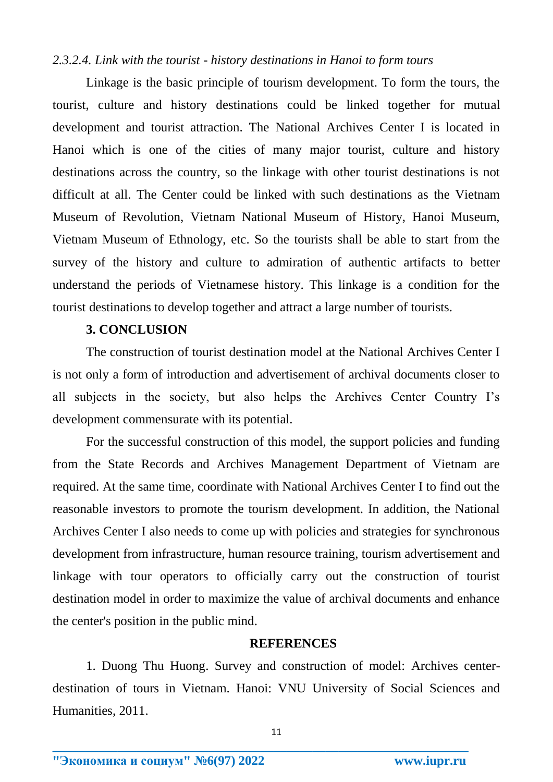#### *2.3.2.4. Link with the tourist - history destinations in Hanoi to form tours*

Linkage is the basic principle of tourism development. To form the tours, the tourist, culture and history destinations could be linked together for mutual development and tourist attraction. The National Archives Center I is located in Hanoi which is one of the cities of many major tourist, culture and history destinations across the country, so the linkage with other tourist destinations is not difficult at all. The Center could be linked with such destinations as the Vietnam Museum of Revolution, Vietnam National Museum of History, Hanoi Museum, Vietnam Museum of Ethnology, etc. So the tourists shall be able to start from the survey of the history and culture to admiration of authentic artifacts to better understand the periods of Vietnamese history. This linkage is a condition for the tourist destinations to develop together and attract a large number of tourists.

### **3. CONCLUSION**

The construction of tourist destination model at the National Archives Center I is not only a form of introduction and advertisement of archival documents closer to all subjects in the society, but also helps the Archives Center Country I's development commensurate with its potential.

For the successful construction of this model, the support policies and funding from the State Records and Archives Management Department of Vietnam are required. At the same time, coordinate with National Archives Center I to find out the reasonable investors to promote the tourism development. In addition, the National Archives Center I also needs to come up with policies and strategies for synchronous development from infrastructure, human resource training, tourism advertisement and linkage with tour operators to officially carry out the construction of tourist destination model in order to maximize the value of archival documents and enhance the center's position in the public mind.

#### **REFERENCES**

1. Duong Thu Huong. Survey and construction of model: Archives centerdestination of tours in Vietnam. Hanoi: VNU University of Social Sciences and Humanities, 2011.